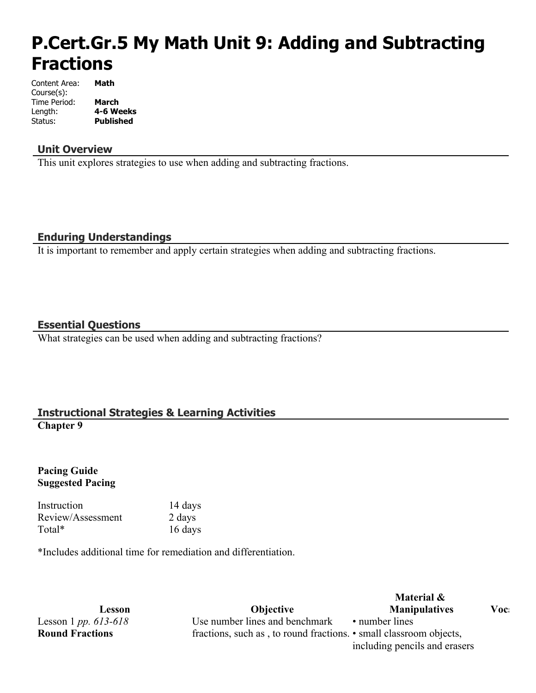# **P.Cert.Gr.5 My Math Unit 9: Adding and Subtracting Fractions**

| Content Area: | Math             |
|---------------|------------------|
| Course(s):    |                  |
| Time Period:  | March            |
| Length:       | 4-6 Weeks        |
| Status:       | <b>Published</b> |

#### **Unit Overview**

This unit explores strategies to use when adding and subtracting fractions.

## **Enduring Understandings**

It is important to remember and apply certain strategies when adding and subtracting fractions.

## **Essential Questions**

What strategies can be used when adding and subtracting fractions?

# **Instructional Strategies & Learning Activities**

**Chapter 9**

#### **Pacing Guide Suggested Pacing**

Instruction 14 days Review/Assessment 2 days Total\* 16 days

\*Includes additional time for remediation and differentiation.

Lesson 1 *pp. 613-618* **Round Fractions**

**Lesson Objective** Use number lines and benchmark fractions, such as , to round fractions. • small classroom objects,

# **Material & Manipulatives Vocabulary** • number lines

including pencils and erasers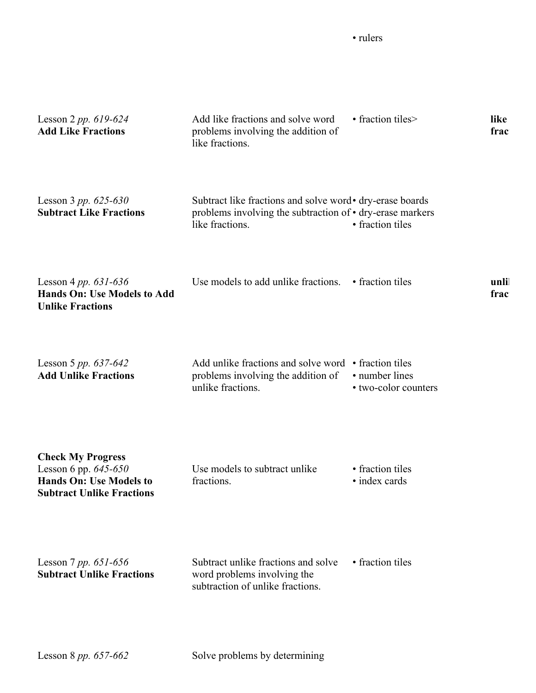• rulers

| Lesson 2 pp. $619-624$<br><b>Add Like Fractions</b>                                                                        | Add like fractions and solve word<br>problems involving the addition of<br>like fractions.                                                | • fraction tiles>                      | like<br>frac |
|----------------------------------------------------------------------------------------------------------------------------|-------------------------------------------------------------------------------------------------------------------------------------------|----------------------------------------|--------------|
| Lesson 3 pp. $625-630$<br><b>Subtract Like Fractions</b>                                                                   | Subtract like fractions and solve word • dry-erase boards<br>problems involving the subtraction of • dry-erase markers<br>like fractions. | • fraction tiles                       |              |
| Lesson 4 pp. $631-636$<br><b>Hands On: Use Models to Add</b><br><b>Unlike Fractions</b>                                    | Use models to add unlike fractions.                                                                                                       | • fraction tiles                       | unli<br>frac |
| Lesson 5 pp. $637-642$<br><b>Add Unlike Fractions</b>                                                                      | Add unlike fractions and solve word • fraction tiles<br>problems involving the addition of<br>unlike fractions.                           | • number lines<br>• two-color counters |              |
| <b>Check My Progress</b><br>Lesson 6 pp. $645 - 650$<br><b>Hands On: Use Models to</b><br><b>Subtract Unlike Fractions</b> | Use models to subtract unlike<br>fractions.                                                                                               | • fraction tiles<br>• index cards      |              |
| Lesson 7 pp. $651-656$<br><b>Subtract Unlike Fractions</b>                                                                 | Subtract unlike fractions and solve<br>word problems involving the<br>subtraction of unlike fractions.                                    | • fraction tiles                       |              |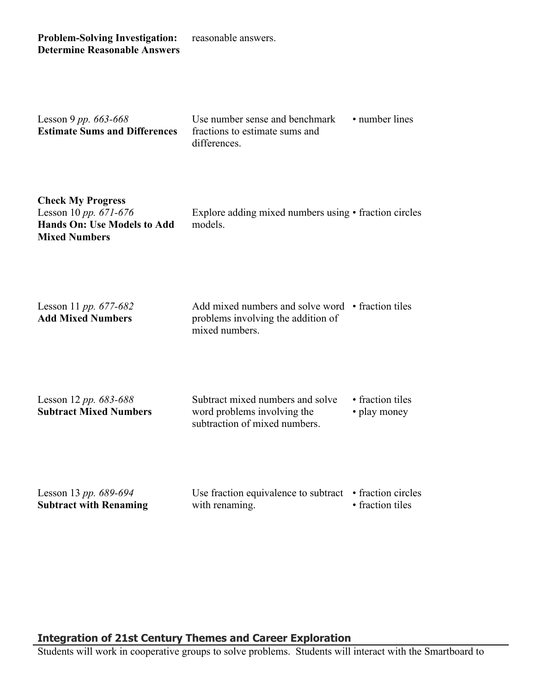**Problem-Solving Investigation: Determine Reasonable Answers** reasonable answers.

| Lesson 9 pp. $663 - 668$<br><b>Estimate Sums and Differences</b> | Use number sense and benchmark<br>fractions to estimate sums and<br>differences. | • number lines |  |
|------------------------------------------------------------------|----------------------------------------------------------------------------------|----------------|--|
|                                                                  |                                                                                  |                |  |

| <b>Check My Progress</b>           |           |
|------------------------------------|-----------|
| Lesson 10 pp. $671-676$            | Explore a |
| <b>Hands On: Use Models to Add</b> | models.   |
| <b>Mixed Numbers</b>               |           |

Explore adding mixed numbers using • fraction circles

Lesson 11 *pp. 677-682* **Add Mixed Numbers**

Add mixed numbers and solve word • fraction tiles problems involving the addition of mixed numbers.

Lesson 12 *pp. 683-688* **Subtract Mixed Numbers** Subtract mixed numbers and solve word problems involving the subtraction of mixed numbers.

• fraction tiles

• play money

Lesson 13 *pp. 689-694* **Subtract with Renaming**

Use fraction equivalence to subtract • fraction circles with renaming. • fraction tiles

#### **Integration of 21st Century Themes and Career Exploration**

Students will work in cooperative groups to solve problems. Students will interact with the Smartboard to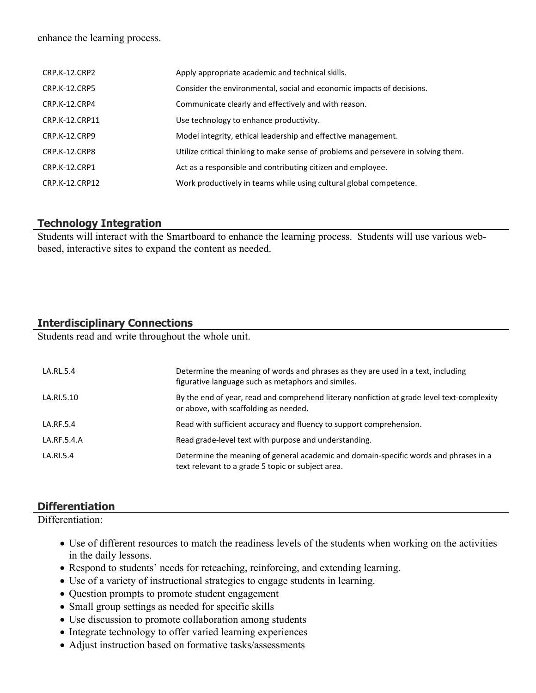enhance the learning process.

| CRP.K-12.CRP2        | Apply appropriate academic and technical skills.                                   |
|----------------------|------------------------------------------------------------------------------------|
| <b>CRP.K-12.CRP5</b> | Consider the environmental, social and economic impacts of decisions.              |
| CRP.K-12.CRP4        | Communicate clearly and effectively and with reason.                               |
| CRP.K-12.CRP11       | Use technology to enhance productivity.                                            |
| CRP.K-12.CRP9        | Model integrity, ethical leadership and effective management.                      |
| CRP.K-12.CRP8        | Utilize critical thinking to make sense of problems and persevere in solving them. |
| CRP.K-12.CRP1        | Act as a responsible and contributing citizen and employee.                        |
| CRP.K-12.CRP12       | Work productively in teams while using cultural global competence.                 |

#### **Technology Integration**

Students will interact with the Smartboard to enhance the learning process. Students will use various webbased, interactive sites to expand the content as needed.

# **Interdisciplinary Connections**

Students read and write throughout the whole unit.

| LA.RL.5.4   | Determine the meaning of words and phrases as they are used in a text, including<br>figurative language such as metaphors and similes.    |
|-------------|-------------------------------------------------------------------------------------------------------------------------------------------|
| LA.RI.5.10  | By the end of year, read and comprehend literary nonfiction at grade level text-complexity<br>or above, with scaffolding as needed.       |
| LA.RF.5.4   | Read with sufficient accuracy and fluency to support comprehension.                                                                       |
| LA.RF.5.4.A | Read grade-level text with purpose and understanding.                                                                                     |
| LA.RI.5.4   | Determine the meaning of general academic and domain-specific words and phrases in a<br>text relevant to a grade 5 topic or subject area. |

# **Differentiation**

Differentiation<sup>-</sup>

- Use of different resources to match the readiness levels of the students when working on the activities in the daily lessons.
- Respond to students' needs for reteaching, reinforcing, and extending learning.
- Use of a variety of instructional strategies to engage students in learning.
- Question prompts to promote student engagement
- Small group settings as needed for specific skills
- Use discussion to promote collaboration among students
- Integrate technology to offer varied learning experiences
- Adjust instruction based on formative tasks/assessments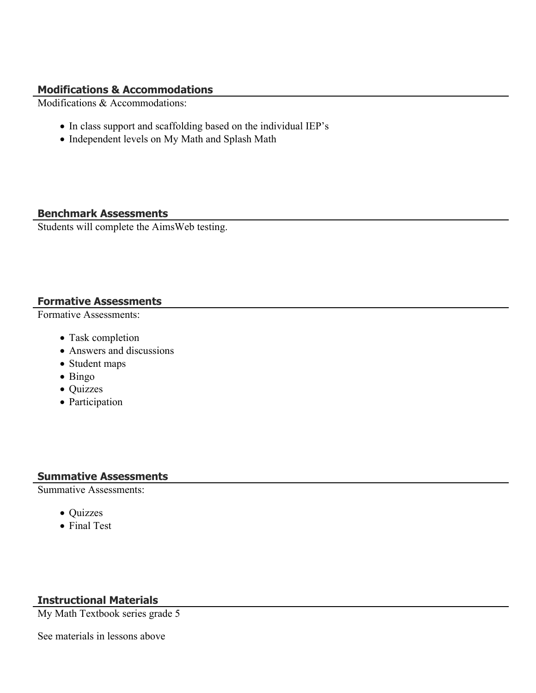#### **Modifications & Accommodations**

Modifications & Accommodations:

- In class support and scaffolding based on the individual IEP's
- Independent levels on My Math and Splash Math

# **Benchmark Assessments**

Students will complete the AimsWeb testing.

## **Formative Assessments**

Formative Assessments:

- Task completion
- Answers and discussions
- Student maps
- Bingo
- Quizzes
- Participation

# **Summative Assessments**

Summative Assessments:

- Quizzes
- Final Test

# **Instructional Materials**

My Math Textbook series grade 5

See materials in lessons above